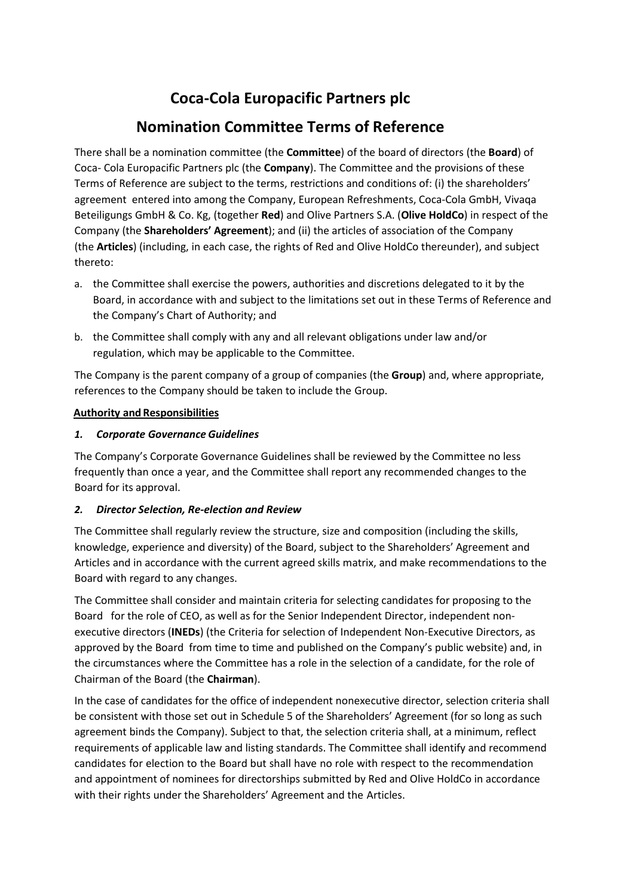# **Coca-Cola Europacific Partners plc**

## **Nomination Committee Terms of Reference**

There shall be a nomination committee (the **Committee**) of the board of directors (the **Board**) of Coca- Cola Europacific Partners plc (the **Company**). The Committee and the provisions of these Terms of Reference are subject to the terms, restrictions and conditions of: (i) the shareholders' agreement entered into among the Company, European Refreshments, Coca-Cola GmbH, Vivaqa Beteiligungs GmbH & Co. Kg, (together **Red**) and Olive Partners S.A. (**Olive HoldCo**) in respect of the Company (the **Shareholders' Agreement**); and (ii) the articles of association of the Company (the **Articles**) (including, in each case, the rights of Red and Olive HoldCo thereunder), and subject thereto:

- a. the Committee shall exercise the powers, authorities and discretions delegated to it by the Board, in accordance with and subject to the limitations set out in these Terms of Reference and the Company's Chart of Authority; and
- b. the Committee shall comply with any and all relevant obligations under law and/or regulation, which may be applicable to the Committee.

The Company is the parent company of a group of companies (the **Group**) and, where appropriate, references to the Company should be taken to include the Group.

## **Authority and Responsibilities**

## *1. Corporate Governance Guidelines*

The Company's Corporate Governance Guidelines shall be reviewed by the Committee no less frequently than once a year, and the Committee shall report any recommended changes to the Board for its approval.

## *2. Director Selection, Re-election and Review*

The Committee shall regularly review the structure, size and composition (including the skills, knowledge, experience and diversity) of the Board, subject to the Shareholders' Agreement and Articles and in accordance with the current agreed skills matrix, and make recommendations to the Board with regard to any changes.

The Committee shall consider and maintain criteria for selecting candidates for proposing to the Board for the role of CEO, as well as for the Senior Independent Director, independent nonexecutive directors (**INEDs**) (the Criteria for selection of Independent Non-Executive Directors, as approved by the Board from time to time and published on the Company's public website) and, in the circumstances where the Committee has a role in the selection of a candidate, for the role of Chairman of the Board (the **Chairman**).

In the case of candidates for the office of independent nonexecutive director, selection criteria shall be consistent with those set out in Schedule 5 of the Shareholders' Agreement (for so long as such agreement binds the Company). Subject to that, the selection criteria shall, at a minimum, reflect requirements of applicable law and listing standards. The Committee shall identify and recommend candidates for election to the Board but shall have no role with respect to the recommendation and appointment of nominees for directorships submitted by Red and Olive HoldCo in accordance with their rights under the Shareholders' Agreement and the Articles.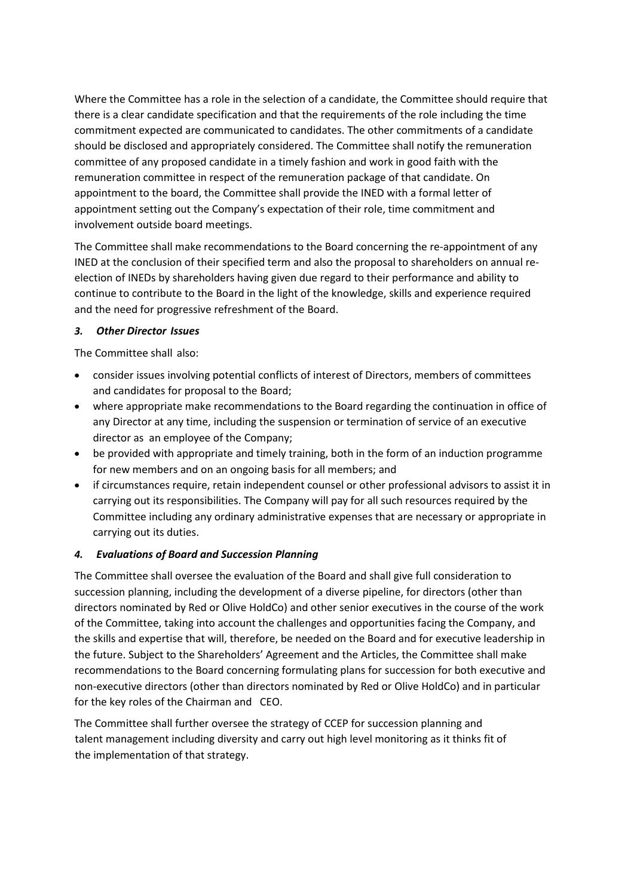Where the Committee has a role in the selection of a candidate, the Committee should require that there is a clear candidate specification and that the requirements of the role including the time commitment expected are communicated to candidates. The other commitments of a candidate should be disclosed and appropriately considered. The Committee shall notify the remuneration committee of any proposed candidate in a timely fashion and work in good faith with the remuneration committee in respect of the remuneration package of that candidate. On appointment to the board, the Committee shall provide the INED with a formal letter of appointment setting out the Company's expectation of their role, time commitment and involvement outside board meetings.

The Committee shall make recommendations to the Board concerning the re-appointment of any INED at the conclusion of their specified term and also the proposal to shareholders on annual reelection of INEDs by shareholders having given due regard to their performance and ability to continue to contribute to the Board in the light of the knowledge, skills and experience required and the need for progressive refreshment of the Board.

## *3. Other Director Issues*

The Committee shall also:

- consider issues involving potential conflicts of interest of Directors, members of committees and candidates for proposal to the Board;
- where appropriate make recommendations to the Board regarding the continuation in office of any Director at any time, including the suspension or termination of service of an executive director as an employee of the Company;
- be provided with appropriate and timely training, both in the form of an induction programme for new members and on an ongoing basis for all members; and
- if circumstances require, retain independent counsel or other professional advisors to assist it in carrying out its responsibilities. The Company will pay for all such resources required by the Committee including any ordinary administrative expenses that are necessary or appropriate in carrying out its duties.

## *4. Evaluations of Board and Succession Planning*

The Committee shall oversee the evaluation of the Board and shall give full consideration to succession planning, including the development of a diverse pipeline, for directors (other than directors nominated by Red or Olive HoldCo) and other senior executives in the course of the work of the Committee, taking into account the challenges and opportunities facing the Company, and the skills and expertise that will, therefore, be needed on the Board and for executive leadership in the future. Subject to the Shareholders' Agreement and the Articles, the Committee shall make recommendations to the Board concerning formulating plans for succession for both executive and non-executive directors (other than directors nominated by Red or Olive HoldCo) and in particular for the key roles of the Chairman and CEO.

The Committee shall further oversee the strategy of CCEP for succession planning and talent management including diversity and carry out high level monitoring as it thinks fit of the implementation of that strategy.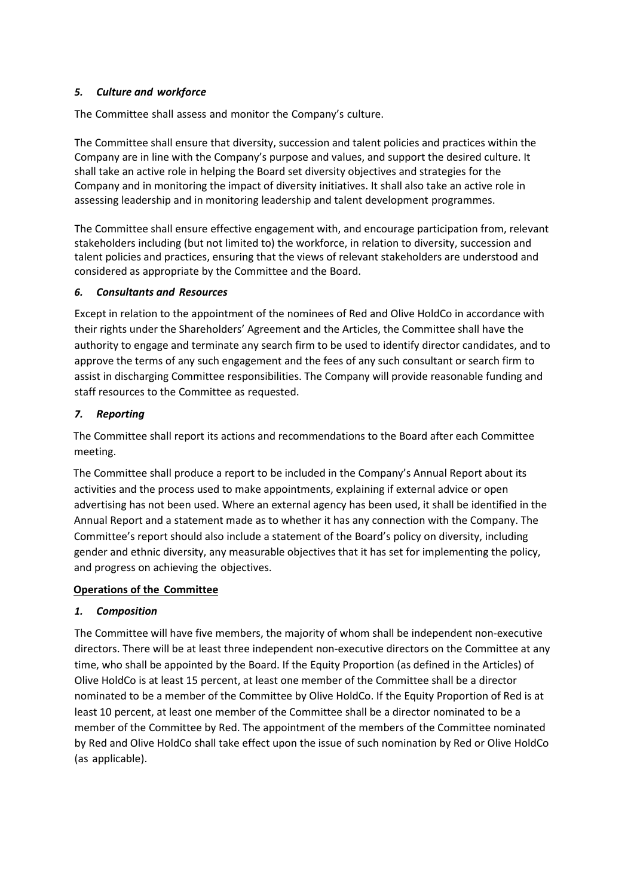## *5. Culture and workforce*

The Committee shall assess and monitor the Company's culture.

The Committee shall ensure that diversity, succession and talent policies and practices within the Company are in line with the Company's purpose and values, and support the desired culture. It shall take an active role in helping the Board set diversity objectives and strategies for the Company and in monitoring the impact of diversity initiatives. It shall also take an active role in assessing leadership and in monitoring leadership and talent development programmes.

The Committee shall ensure effective engagement with, and encourage participation from, relevant stakeholders including (but not limited to) the workforce, in relation to diversity, succession and talent policies and practices, ensuring that the views of relevant stakeholders are understood and considered as appropriate by the Committee and the Board.

## *6. Consultants and Resources*

Except in relation to the appointment of the nominees of Red and Olive HoldCo in accordance with their rights under the Shareholders' Agreement and the Articles, the Committee shall have the authority to engage and terminate any search firm to be used to identify director candidates, and to approve the terms of any such engagement and the fees of any such consultant or search firm to assist in discharging Committee responsibilities. The Company will provide reasonable funding and staff resources to the Committee as requested.

## *7. Reporting*

The Committee shall report its actions and recommendations to the Board after each Committee meeting.

The Committee shall produce a report to be included in the Company's Annual Report about its activities and the process used to make appointments, explaining if external advice or open advertising has not been used. Where an external agency has been used, it shall be identified in the Annual Report and a statement made as to whether it has any connection with the Company. The Committee's report should also include a statement of the Board's policy on diversity, including gender and ethnic diversity, any measurable objectives that it has set for implementing the policy, and progress on achieving the objectives.

#### **Operations of the Committee**

## *1. Composition*

The Committee will have five members, the majority of whom shall be independent non-executive directors. There will be at least three independent non-executive directors on the Committee at any time, who shall be appointed by the Board. If the Equity Proportion (as defined in the Articles) of Olive HoldCo is at least 15 percent, at least one member of the Committee shall be a director nominated to be a member of the Committee by Olive HoldCo. If the Equity Proportion of Red is at least 10 percent, at least one member of the Committee shall be a director nominated to be a member of the Committee by Red. The appointment of the members of the Committee nominated by Red and Olive HoldCo shall take effect upon the issue of such nomination by Red or Olive HoldCo (as applicable).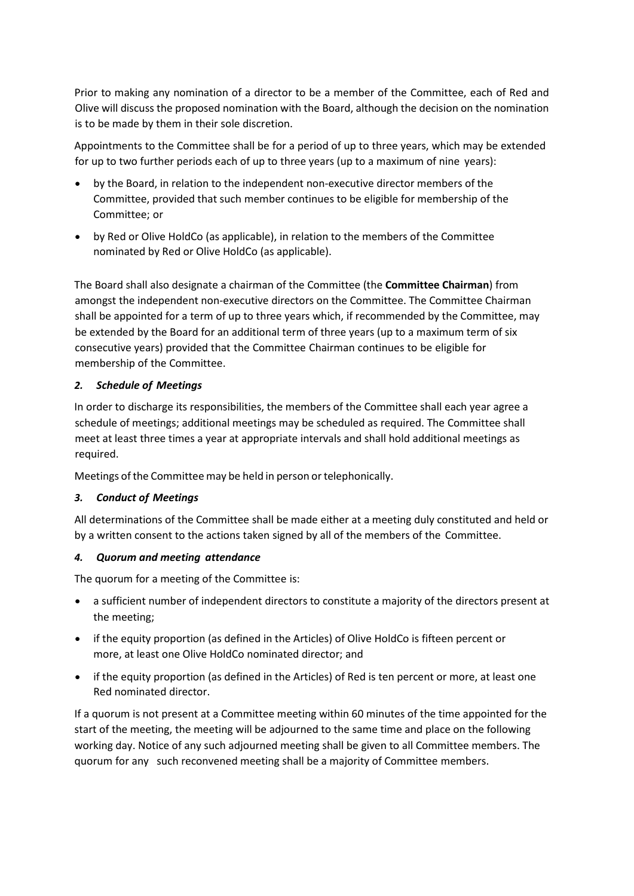Prior to making any nomination of a director to be a member of the Committee, each of Red and Olive will discuss the proposed nomination with the Board, although the decision on the nomination is to be made by them in their sole discretion.

Appointments to the Committee shall be for a period of up to three years, which may be extended for up to two further periods each of up to three years (up to a maximum of nine years):

- by the Board, in relation to the independent non-executive director members of the Committee, provided that such member continues to be eligible for membership of the Committee; or
- by Red or Olive HoldCo (as applicable), in relation to the members of the Committee nominated by Red or Olive HoldCo (as applicable).

The Board shall also designate a chairman of the Committee (the **Committee Chairman**) from amongst the independent non-executive directors on the Committee. The Committee Chairman shall be appointed for a term of up to three years which, if recommended by the Committee, may be extended by the Board for an additional term of three years (up to a maximum term of six consecutive years) provided that the Committee Chairman continues to be eligible for membership of the Committee.

## *2. Schedule of Meetings*

In order to discharge its responsibilities, the members of the Committee shall each year agree a schedule of meetings; additional meetings may be scheduled as required. The Committee shall meet at least three times a year at appropriate intervals and shall hold additional meetings as required.

Meetings of the Committee may be held in person or telephonically.

#### *3. Conduct of Meetings*

All determinations of the Committee shall be made either at a meeting duly constituted and held or by a written consent to the actions taken signed by all of the members of the Committee.

#### *4. Quorum and meeting attendance*

The quorum for a meeting of the Committee is:

- a sufficient number of independent directors to constitute a majority of the directors present at the meeting;
- if the equity proportion (as defined in the Articles) of Olive HoldCo is fifteen percent or more, at least one Olive HoldCo nominated director; and
- if the equity proportion (as defined in the Articles) of Red is ten percent or more, at least one Red nominated director.

If a quorum is not present at a Committee meeting within 60 minutes of the time appointed for the start of the meeting, the meeting will be adjourned to the same time and place on the following working day. Notice of any such adjourned meeting shall be given to all Committee members. The quorum for any such reconvened meeting shall be a majority of Committee members.